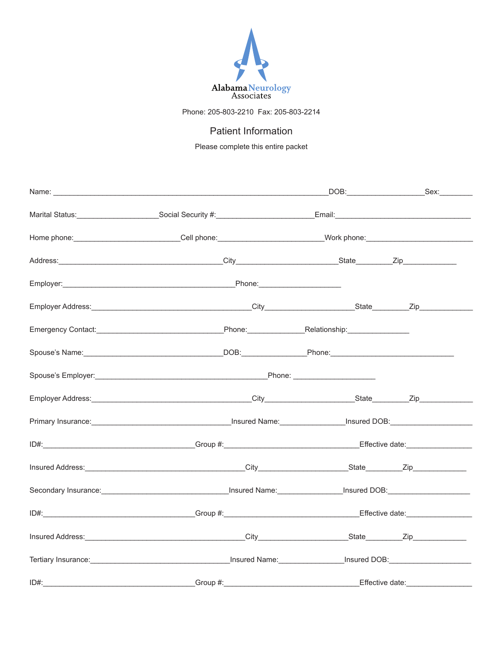

Phone: 205-803-2210 Fax: 205-803-2214

# Patient Information

Please complete this entire packet

|      | Home phone:_____________________________Cell phone:____________________________Work phone:____________________                                                                                                                 |  |
|------|--------------------------------------------------------------------------------------------------------------------------------------------------------------------------------------------------------------------------------|--|
|      |                                                                                                                                                                                                                                |  |
|      |                                                                                                                                                                                                                                |  |
|      |                                                                                                                                                                                                                                |  |
|      | Emergency Contact: National According Contact: National According Phone: National According Phone Contact: National According Phone Contact: National According Phone Contact: National According Phone Contact: National Acco |  |
|      |                                                                                                                                                                                                                                |  |
|      |                                                                                                                                                                                                                                |  |
|      |                                                                                                                                                                                                                                |  |
|      | Primary Insurance: 1990 Married Mame: 1990 Manual Assembly Primary Insured DOB: 1990 Manual Assembly Primary Insured DOB:                                                                                                      |  |
|      | ID#: Effective date: Effective date: Effective date:                                                                                                                                                                           |  |
|      |                                                                                                                                                                                                                                |  |
|      | Secondary Insurance: <u>Communications and Communications are in</u> sured Name: Communications and DOB:                                                                                                                       |  |
|      |                                                                                                                                                                                                                                |  |
|      |                                                                                                                                                                                                                                |  |
|      |                                                                                                                                                                                                                                |  |
| ID#: | Croup #: Company and Company and Company and Company and Company and Company and Company and Company and Company and Company and Company and Company and Company and Company and Company and Company and Company and Company a |  |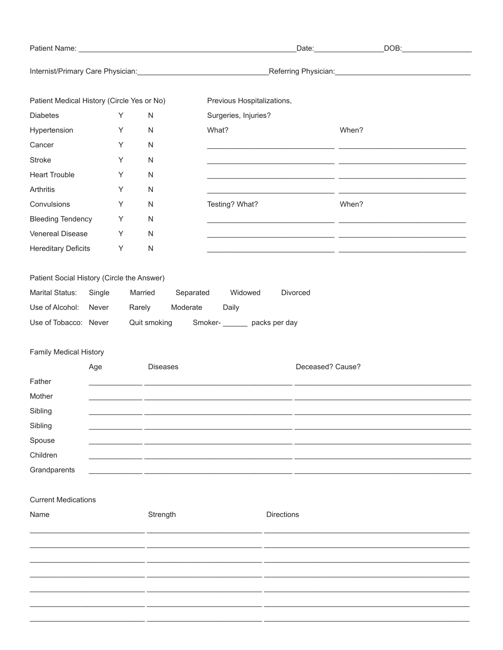|                                            |        |        |                      |                                                                                                                                                                                                                                |                                                                                                                    | DOB:                                                                                                                 |  |
|--------------------------------------------|--------|--------|----------------------|--------------------------------------------------------------------------------------------------------------------------------------------------------------------------------------------------------------------------------|--------------------------------------------------------------------------------------------------------------------|----------------------------------------------------------------------------------------------------------------------|--|
|                                            |        |        |                      | Internist/Primary Care Physician: Care Change Care Change Control of the Change Care Change Care Change Care Change Care Change Care Change Care Change Care Change Care Change Care Change Care Change Care Change Care Chang |                                                                                                                    |                                                                                                                      |  |
| Patient Medical History (Circle Yes or No) |        |        |                      | Previous Hospitalizations,                                                                                                                                                                                                     |                                                                                                                    |                                                                                                                      |  |
| <b>Diabetes</b>                            |        | Υ      | ${\sf N}$            | Surgeries, Injuries?                                                                                                                                                                                                           |                                                                                                                    |                                                                                                                      |  |
| Hypertension                               |        | Υ      | ${\sf N}$            | What?                                                                                                                                                                                                                          |                                                                                                                    | When?                                                                                                                |  |
| Cancer                                     |        | Y      | ${\sf N}$            |                                                                                                                                                                                                                                |                                                                                                                    |                                                                                                                      |  |
| <b>Stroke</b>                              |        | Υ      | ${\sf N}$            |                                                                                                                                                                                                                                |                                                                                                                    | <u> 1990 - Jan James James James James James James James James James James James James James James James James J</u> |  |
| <b>Heart Trouble</b>                       |        | Υ      | N                    |                                                                                                                                                                                                                                |                                                                                                                    |                                                                                                                      |  |
| Arthritis                                  |        | Υ      | N                    |                                                                                                                                                                                                                                | <u> 1980 - Jan Stein Harry Harry Harry Harry Harry Harry Harry Harry Harry Harry Harry Harry Harry Harry Harry</u> |                                                                                                                      |  |
| Convulsions                                |        | Υ      | N                    | Testing? What?                                                                                                                                                                                                                 |                                                                                                                    | When?                                                                                                                |  |
| <b>Bleeding Tendency</b>                   |        | Υ      | N                    |                                                                                                                                                                                                                                |                                                                                                                    | <u> 1990 - Johann Stoff, amerikansk politik (* 1900)</u>                                                             |  |
| Venereal Disease                           |        | Υ      | N                    |                                                                                                                                                                                                                                |                                                                                                                    |                                                                                                                      |  |
| <b>Hereditary Deficits</b>                 |        | Υ      | ${\sf N}$            |                                                                                                                                                                                                                                |                                                                                                                    | <u> 2000 - Jan James James (f. 1989)</u>                                                                             |  |
| Patient Social History (Circle the Answer) |        |        |                      |                                                                                                                                                                                                                                |                                                                                                                    |                                                                                                                      |  |
| <b>Marital Status:</b>                     | Single |        | Married<br>Separated | Widowed                                                                                                                                                                                                                        | Divorced                                                                                                           |                                                                                                                      |  |
| Use of Alcohol: Never                      |        | Rarely | Moderate             | Daily                                                                                                                                                                                                                          |                                                                                                                    |                                                                                                                      |  |
| Use of Tobacco: Never                      |        |        |                      | Quit smoking Smoker- Smoker- Smoker Smoker Smoker Smoker Smoker Smoker New Smoker Smoker Smoker Smoker Smoker Smoker Smoker Smoker Smoker Smoker Smoker Smoker Smoker Smoker Smoker Smoker Smoker Smoker Smoker Smoker Smoker  |                                                                                                                    |                                                                                                                      |  |
|                                            |        |        |                      |                                                                                                                                                                                                                                |                                                                                                                    |                                                                                                                      |  |
| Family Medical History                     |        |        |                      |                                                                                                                                                                                                                                |                                                                                                                    |                                                                                                                      |  |
| Father                                     | Age    |        | <b>Diseases</b>      |                                                                                                                                                                                                                                | Deceased? Cause?                                                                                                   |                                                                                                                      |  |
| Mother                                     |        |        |                      |                                                                                                                                                                                                                                |                                                                                                                    |                                                                                                                      |  |
| Sibling                                    |        |        |                      |                                                                                                                                                                                                                                |                                                                                                                    |                                                                                                                      |  |
| Sibling                                    |        |        |                      |                                                                                                                                                                                                                                |                                                                                                                    |                                                                                                                      |  |
| Spouse                                     |        |        |                      |                                                                                                                                                                                                                                |                                                                                                                    |                                                                                                                      |  |
| Children                                   |        |        |                      |                                                                                                                                                                                                                                |                                                                                                                    |                                                                                                                      |  |
| Grandparents                               |        |        |                      |                                                                                                                                                                                                                                |                                                                                                                    |                                                                                                                      |  |
|                                            |        |        |                      |                                                                                                                                                                                                                                |                                                                                                                    |                                                                                                                      |  |
| <b>Current Medications</b>                 |        |        |                      |                                                                                                                                                                                                                                |                                                                                                                    |                                                                                                                      |  |
| Name                                       |        |        | Strength             |                                                                                                                                                                                                                                | <b>Directions</b>                                                                                                  |                                                                                                                      |  |
|                                            |        |        |                      |                                                                                                                                                                                                                                |                                                                                                                    |                                                                                                                      |  |
|                                            |        |        |                      |                                                                                                                                                                                                                                |                                                                                                                    |                                                                                                                      |  |
|                                            |        |        |                      |                                                                                                                                                                                                                                |                                                                                                                    |                                                                                                                      |  |
|                                            |        |        |                      |                                                                                                                                                                                                                                |                                                                                                                    |                                                                                                                      |  |
|                                            |        |        |                      |                                                                                                                                                                                                                                |                                                                                                                    |                                                                                                                      |  |
|                                            |        |        |                      |                                                                                                                                                                                                                                |                                                                                                                    |                                                                                                                      |  |
|                                            |        |        |                      |                                                                                                                                                                                                                                |                                                                                                                    |                                                                                                                      |  |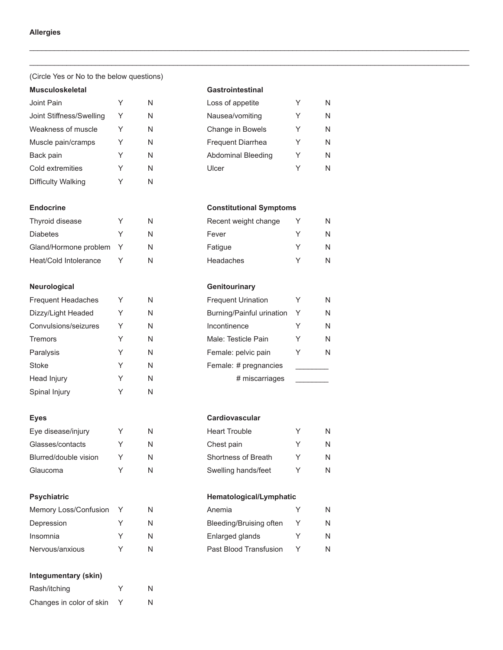## (Circle Yes or No to the below questions)

## **Musculoskeletal Gastrointestinal**

| Joint Pain               | N | Loss of appetite         |   | N |
|--------------------------|---|--------------------------|---|---|
| Joint Stiffness/Swelling | N | Nausea/vomiting          | Υ | N |
| Weakness of muscle       | N | Change in Bowels         | Y | N |
| Muscle pain/cramps       | N | <b>Frequent Diarrhea</b> | Y | N |
| Back pain                | N | Abdominal Bleeding       | Y | N |
| Cold extremities         | N | Ulcer                    | Y | N |
| Difficulty Walking       | N |                          |   |   |

| Thyroid disease       | v | Ν |
|-----------------------|---|---|
| <b>Diabetes</b>       | ∨ | Ν |
| Gland/Hormone problem |   | Ν |
| Heat/Cold Intolerance |   | Ν |

## **Neurological Genitourinary**

| <b>Frequent Headaches</b> | Y | N | <b>Frequent Urination</b> |   | N |
|---------------------------|---|---|---------------------------|---|---|
| Dizzy/Light Headed        | Y | N | Burning/Painful urination | Y | N |
| Convulsions/seizures      | Y | N | Incontinence              | Y | N |
| <b>Tremors</b>            | Y | N | Male: Testicle Pain       | Y | N |
| Paralysis                 | Υ | N | Female: pelvic pain       |   | N |
| Stoke                     | Υ | N | Female: # pregnancies     |   |   |
| Head Injury               | Y | N | # miscarriages            |   |   |
| Spinal Injury             | Υ | N |                           |   |   |
|                           |   |   |                           |   |   |

| Eye disease/injury    | ∨ | Ν |
|-----------------------|---|---|
| Glasses/contacts      | v | Ν |
| Blurred/double vision | v | Ν |
| Glaucoma              | ∨ | ٨ |

| Memory Loss/Confusion Y |   | Anemia                  | N |
|-------------------------|---|-------------------------|---|
| Depression              | N | Bleeding/Bruising often | N |
| Insomnia                |   | Enlarged glands         | N |
| Nervous/anxious         |   | Past Blood Transfusion  | N |
|                         |   |                         |   |

# **Integumentary (skin)**

| Rash/itching             | v | N |
|--------------------------|---|---|
| Changes in color of skin |   | N |

\_\_\_\_\_\_\_\_\_\_\_\_\_\_\_\_\_\_\_\_\_\_\_\_\_\_\_\_\_\_\_\_\_\_\_\_\_\_\_\_\_\_\_\_\_\_\_\_\_\_\_\_\_\_\_\_\_\_\_\_\_\_\_\_\_\_\_\_\_\_\_\_\_\_\_\_\_\_\_\_\_\_\_\_\_\_\_\_\_\_\_\_\_\_\_\_\_\_\_\_\_\_\_\_\_\_\_ \_\_\_\_\_\_\_\_\_\_\_\_\_\_\_\_\_\_\_\_\_\_\_\_\_\_\_\_\_\_\_\_\_\_\_\_\_\_\_\_\_\_\_\_\_\_\_\_\_\_\_\_\_\_\_\_\_\_\_\_\_\_\_\_\_\_\_\_\_\_\_\_\_\_\_\_\_\_\_\_\_\_\_\_\_\_\_\_\_\_\_\_\_\_\_\_\_\_\_\_\_\_\_\_\_\_\_

| Loss of appetite         | Y | N |
|--------------------------|---|---|
| Nausea/vomiting          | Υ | N |
| Change in Bowels         | Y | N |
| <b>Frequent Diarrhea</b> | Y | N |
| Abdominal Bleeding       | Y | N |
| Ulcer                    | v | N |

## **Endocrine Constitutional Symptoms**

| Thyroid disease         |  | Recent weight change | N. |
|-------------------------|--|----------------------|----|
| <b>Diabetes</b>         |  | Fever                |    |
| Gland/Hormone problem Y |  | Fatique              |    |
| Heat/Cold Intolerance   |  | Headaches            |    |

| <b>Frequent Urination</b> | Y | N |
|---------------------------|---|---|
| Burning/Painful urination | Y | N |
| Incontinence              | Y | N |
| Male: Testicle Pain       | Y | N |
| Female: pelvic pain       | Υ | N |
| Female: # pregnancies     |   |   |
| # miscarriages            |   |   |

## Eyes **Cardiovascular**

| Eye disease/injury    |  | <b>Heart Trouble</b> | N. |
|-----------------------|--|----------------------|----|
| Glasses/contacts      |  | Chest pain           | N. |
| Blurred/double vision |  | Shortness of Breath  | N. |
| Glaucoma              |  | Swelling hands/feet  |    |

## Psychiatric **Hematological/Lymphatic**

| Anemia                  |   | N |
|-------------------------|---|---|
| Bleeding/Bruising often | Y | N |
| Enlarged glands         | v | N |
| Past Blood Transfusion  |   | N |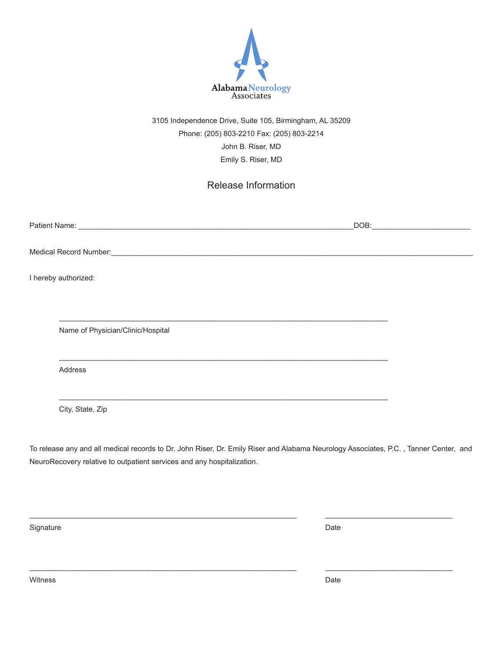

3105 Independence Drive, Suite 105, Birmingham, AL 35209 Phone: (205) 803-2210 Fax: (205) 803-2214 John B. Riser, MD Emily S. Riser, MD

Release Information

| I hereby authorized:              |  |
|-----------------------------------|--|
|                                   |  |
| Name of Physician/Clinic/Hospital |  |
| Address                           |  |
|                                   |  |

City, State, Zip

To release any and all medical records to Dr. John Riser, Dr. Emily Riser and Alabama Neurology Associates, P.C. , Tanner Center, and NeuroRecovery relative to outpatient services and any hospitalization.

\_\_\_\_\_\_\_\_\_\_\_\_\_\_\_\_\_\_\_\_\_\_\_\_\_\_\_\_\_\_\_\_\_\_\_\_\_\_\_\_\_\_\_\_\_\_\_\_\_\_\_\_\_\_\_\_\_\_\_\_\_\_\_\_\_ \_\_\_\_\_\_\_\_\_\_\_\_\_\_\_\_\_\_\_\_\_\_\_\_\_\_\_\_\_\_\_

\_\_\_\_\_\_\_\_\_\_\_\_\_\_\_\_\_\_\_\_\_\_\_\_\_\_\_\_\_\_\_\_\_\_\_\_\_\_\_\_\_\_\_\_\_\_\_\_\_\_\_\_\_\_\_\_\_\_\_\_\_\_\_\_\_ \_\_\_\_\_\_\_\_\_\_\_\_\_\_\_\_\_\_\_\_\_\_\_\_\_\_\_\_\_\_\_

Signature Date

witness **Date**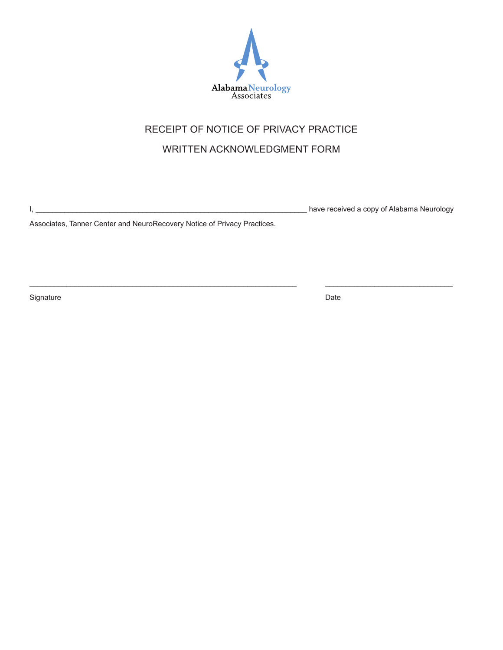

# RECEIPT OF NOTICE OF PRIVACY PRACTICE

# WRITTEN ACKNOWLEDGMENT FORM

\_\_\_\_\_\_\_\_\_\_\_\_\_\_\_\_\_\_\_\_\_\_\_\_\_\_\_\_\_\_\_\_\_\_\_\_\_\_\_\_\_\_\_\_\_\_\_\_\_\_\_\_\_\_\_\_\_\_\_\_\_\_\_\_\_ \_\_\_\_\_\_\_\_\_\_\_\_\_\_\_\_\_\_\_\_\_\_\_\_\_\_\_\_\_\_\_

I, \_\_\_\_\_\_\_\_\_\_\_\_\_\_\_\_\_\_\_\_\_\_\_\_\_\_\_\_\_\_\_\_\_\_\_\_\_\_\_\_\_\_\_\_\_\_\_\_\_\_\_\_\_\_\_\_\_\_\_\_\_\_\_\_\_\_ have received a copy of Alabama Neurology

Associates, Tanner Center and NeuroRecovery Notice of Privacy Practices.

Signature Date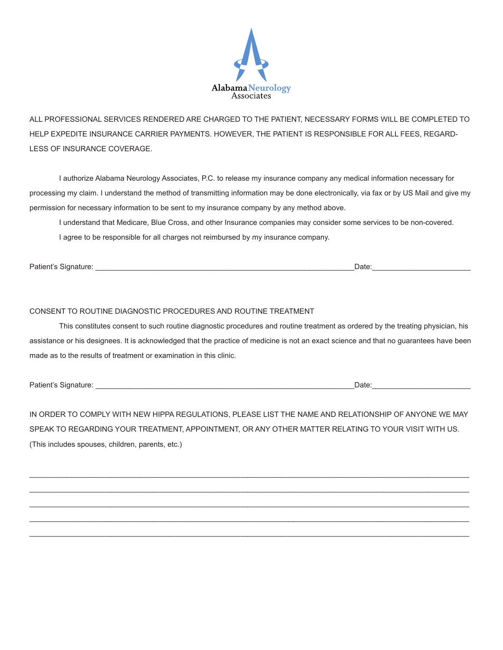

ALL PROFESSIONAL SERVICES RENDERED ARE CHARGED TO THE PATIENT, NECESSARY FORMS WILL BE COMPLETED TO HELP EXPEDITE INSURANCE CARRIER PAYMENTS. HOWEVER, THE PATIENT IS RESPONSIBLE FOR ALL FEES, REGARD-LESS OF INSURANCE COVERAGE.

I authorize Alabama Neurology Associates, P.C. to release my insurance company any medical information necessary for processing my claim. I understand the method of transmitting information may be done electronically, via fax or by US Mail and give my permission for necessary information to be sent to my insurance company by any method above.

I understand that Medicare, Blue Cross, and other Insurance companies may consider some services to be non-covered. I agree to be responsible for all charges not reimbursed by my insurance company.

Patient's Signature: \_\_\_\_\_\_\_\_\_\_\_\_\_\_\_\_\_\_\_\_\_\_\_\_\_\_\_\_\_\_\_\_\_\_\_\_\_\_\_\_\_\_\_\_\_\_\_\_\_\_\_\_\_\_\_\_\_\_\_\_\_\_\_Date:\_\_\_\_\_\_\_\_\_\_\_\_\_\_\_\_\_\_\_\_\_\_\_\_

## CONSENT TO ROUTINE DIAGNOSTIC PROCEDURES AND ROUTINE TREATMENT

This constitutes consent to such routine diagnostic procedures and routine treatment as ordered by the treating physician, his assistance or his designees. It is acknowledged that the practice of medicine is not an exact science and that no guarantees have been made as to the results of treatment or examination in this clinic.

Patient's Signature: \_\_\_\_\_\_\_\_\_\_\_\_\_\_\_\_\_\_\_\_\_\_\_\_\_\_\_\_\_\_\_\_\_\_\_\_\_\_\_\_\_\_\_\_\_\_\_\_\_\_\_\_\_\_\_\_\_\_\_\_\_\_\_Date:\_\_\_\_\_\_\_\_\_\_\_\_\_\_\_\_\_\_\_\_\_\_\_\_

IN ORDER TO COMPLY WITH NEW HIPPA REGULATIONS, PLEASE LIST THE NAME AND RELATIONSHIP OF ANYONE WE MAY SPEAK TO REGARDING YOUR TREATMENT, APPOINTMENT, OR ANY OTHER MATTER RELATING TO YOUR VISIT WITH US. (This includes spouses, children, parents, etc.)

\_\_\_\_\_\_\_\_\_\_\_\_\_\_\_\_\_\_\_\_\_\_\_\_\_\_\_\_\_\_\_\_\_\_\_\_\_\_\_\_\_\_\_\_\_\_\_\_\_\_\_\_\_\_\_\_\_\_\_\_\_\_\_\_\_\_\_\_\_\_\_\_\_\_\_\_\_\_\_\_\_\_\_\_\_\_\_\_\_\_\_\_\_\_\_\_\_\_\_\_\_\_\_\_\_\_\_ \_\_\_\_\_\_\_\_\_\_\_\_\_\_\_\_\_\_\_\_\_\_\_\_\_\_\_\_\_\_\_\_\_\_\_\_\_\_\_\_\_\_\_\_\_\_\_\_\_\_\_\_\_\_\_\_\_\_\_\_\_\_\_\_\_\_\_\_\_\_\_\_\_\_\_\_\_\_\_\_\_\_\_\_\_\_\_\_\_\_\_\_\_\_\_\_\_\_\_\_\_\_\_\_\_\_\_ \_\_\_\_\_\_\_\_\_\_\_\_\_\_\_\_\_\_\_\_\_\_\_\_\_\_\_\_\_\_\_\_\_\_\_\_\_\_\_\_\_\_\_\_\_\_\_\_\_\_\_\_\_\_\_\_\_\_\_\_\_\_\_\_\_\_\_\_\_\_\_\_\_\_\_\_\_\_\_\_\_\_\_\_\_\_\_\_\_\_\_\_\_\_\_\_\_\_\_\_\_\_\_\_\_\_\_ \_\_\_\_\_\_\_\_\_\_\_\_\_\_\_\_\_\_\_\_\_\_\_\_\_\_\_\_\_\_\_\_\_\_\_\_\_\_\_\_\_\_\_\_\_\_\_\_\_\_\_\_\_\_\_\_\_\_\_\_\_\_\_\_\_\_\_\_\_\_\_\_\_\_\_\_\_\_\_\_\_\_\_\_\_\_\_\_\_\_\_\_\_\_\_\_\_\_\_\_\_\_\_\_\_\_\_ \_\_\_\_\_\_\_\_\_\_\_\_\_\_\_\_\_\_\_\_\_\_\_\_\_\_\_\_\_\_\_\_\_\_\_\_\_\_\_\_\_\_\_\_\_\_\_\_\_\_\_\_\_\_\_\_\_\_\_\_\_\_\_\_\_\_\_\_\_\_\_\_\_\_\_\_\_\_\_\_\_\_\_\_\_\_\_\_\_\_\_\_\_\_\_\_\_\_\_\_\_\_\_\_\_\_\_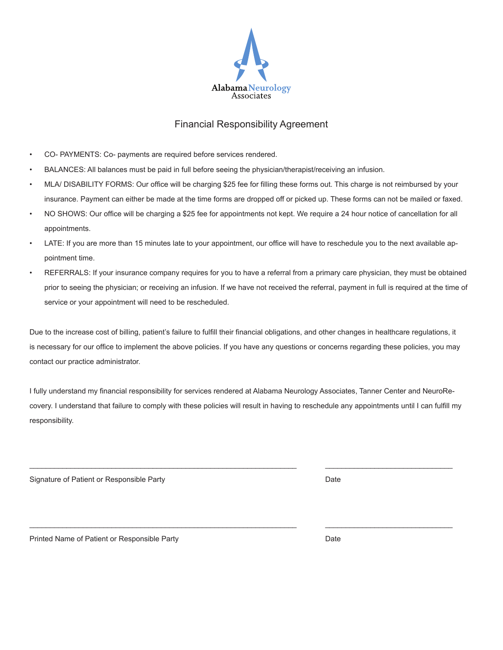

# Financial Responsibility Agreement

- CO- PAYMENTS: Co- payments are required before services rendered.
- BALANCES: All balances must be paid in full before seeing the physician/therapist/receiving an infusion.
- MLA/ DISABILITY FORMS: Our office will be charging \$25 fee for filling these forms out. This charge is not reimbursed by your insurance. Payment can either be made at the time forms are dropped off or picked up. These forms can not be mailed or faxed.
- NO SHOWS: Our office will be charging a \$25 fee for appointments not kept. We require a 24 hour notice of cancellation for all appointments.
- LATE: If you are more than 15 minutes late to your appointment, our office will have to reschedule you to the next available appointment time.
- REFERRALS: If your insurance company requires for you to have a referral from a primary care physician, they must be obtained prior to seeing the physician; or receiving an infusion. If we have not received the referral, payment in full is required at the time of service or your appointment will need to be rescheduled.

Due to the increase cost of billing, patient's failure to fulfill their financial obligations, and other changes in healthcare regulations, it is necessary for our office to implement the above policies. If you have any questions or concerns regarding these policies, you may contact our practice administrator.

I fully understand my financial responsibility for services rendered at Alabama Neurology Associates, Tanner Center and NeuroRecovery. I understand that failure to comply with these policies will result in having to reschedule any appointments until I can fulfill my responsibility.

\_\_\_\_\_\_\_\_\_\_\_\_\_\_\_\_\_\_\_\_\_\_\_\_\_\_\_\_\_\_\_\_\_\_\_\_\_\_\_\_\_\_\_\_\_\_\_\_\_\_\_\_\_\_\_\_\_\_\_\_\_\_\_\_\_ \_\_\_\_\_\_\_\_\_\_\_\_\_\_\_\_\_\_\_\_\_\_\_\_\_\_\_\_\_\_\_

\_\_\_\_\_\_\_\_\_\_\_\_\_\_\_\_\_\_\_\_\_\_\_\_\_\_\_\_\_\_\_\_\_\_\_\_\_\_\_\_\_\_\_\_\_\_\_\_\_\_\_\_\_\_\_\_\_\_\_\_\_\_\_\_\_ \_\_\_\_\_\_\_\_\_\_\_\_\_\_\_\_\_\_\_\_\_\_\_\_\_\_\_\_\_\_\_

Signature of Patient or Responsible Party Date **Date Containers** Date Date Date

Printed Name of Patient or Responsible Party **Date** Date **Date** Date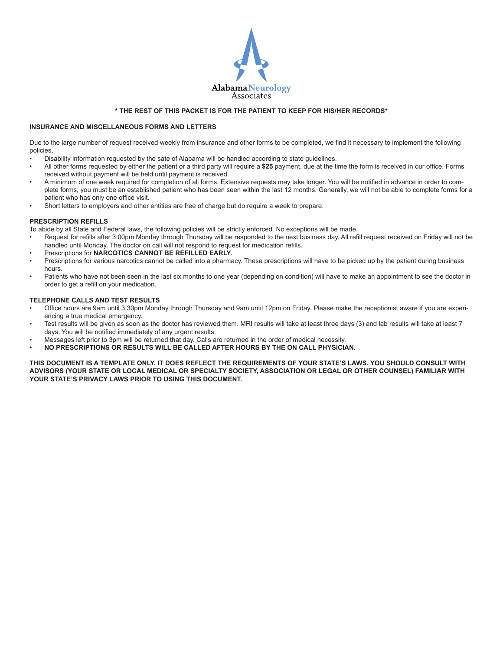

## **\* THE REST OF THIS PACKET IS FOR THE PATIENT TO KEEP FOR HIS/HER RECORDS\***

## **INSURANCE AND MISCELLANEOUS FORMS AND LETTERS**

Due to the large number of request received weekly from insurance and other forms to be completed, we find it necessary to implement the following policies.

- Disability information requested by the sate of Alabama will be handled according to state guidelines.
- All other forms requested by either the patient or a third party will require a **\$25** payment, due at the time the form is received in our office. Forms received without payment will be held until payment is received.
- A minimum of one week required for completion of all forms. Extensive requests may take longer. You will be notified in advance in order to complete forms, you must be an established patient who has been seen within the last 12 months. Generally, we will not be able to complete forms for a patient who has only one office visit.
- Short letters to employers and other entities are free of charge but do require a week to prepare.

### **PRESCRIPTION REFILLS**

To abide by all State and Federal laws, the following policies will be strictly enforced. No exceptions will be made.

- Request for refills after 3:00pm Monday through Thursday will be responded to the next business day. All refill request received on Friday will not be handled until Monday. The doctor on call will not respond to request for medication refills.
- Prescriptions for **NARCOTICS CANNOT BE REFILLED EARLY.**
- Prescriptions for various narcotics cannot be called into a pharmacy. These prescriptions will have to be picked up by the patient during business hours.
- Patients who have not been seen in the last six months to one year (depending on condition) will have to make an appointment to see the doctor in order to get a refill on your medication.

### **TELEPHONE CALLS AND TEST RESULTS**

- Office hours are 9am until 3:30pm Monday through Thursday and 9am until 12pm on Friday. Please make the receptionist aware if you are experiencing a true medical emergency.
- Test results will be given as soon as the doctor has reviewed them. MRI results will take at least three days (3) and lab results will take at least 7 days. You will be notified immediately of any urgent results.
- Messages left prior to 3pm will be returned that day. Calls are returned in the order of medical necessity.
- **• NO PRESCRIPTIONS OR RESULTS WILL BE CALLED AFTER HOURS BY THE ON CALL PHYSICIAN.**

**THIS DOCUMENT IS A TEMPLATE ONLY. IT DOES REFLECT THE REQUIREMENTS OF YOUR STATE'S LAWS. YOU SHOULD CONSULT WITH ADVISORS (YOUR STATE OR LOCAL MEDICAL OR SPECIALTY SOCIETY, ASSOCIATION OR LEGAL OR OTHER COUNSEL) FAMILIAR WITH YOUR STATE'S PRIVACY LAWS PRIOR TO USING THIS DOCUMENT.**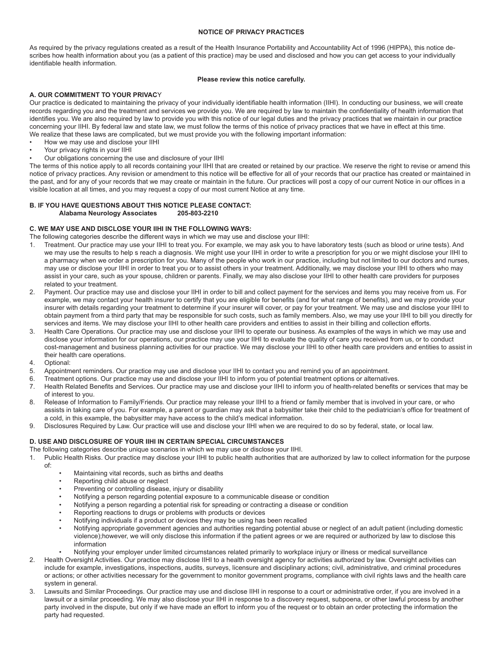### **NOTICE OF PRIVACY PRACTICES**

As required by the privacy regulations created as a result of the Health Insurance Portability and Accountability Act of 1996 (HIPPA), this notice describes how health information about you (as a patient of this practice) may be used and disclosed and how you can get access to your individually identifiable health information.

## **Please review this notice carefully.**

## **A. OUR COMMITMENT TO YOUR PRIVAC**Y

Our practice is dedicated to maintaining the privacy of your individually identifiable health information (IIHI). In conducting our business, we will create records regarding you and the treatment and services we provide you. We are required by law to maintain the confidentiality of health information that identifies you. We are also required by law to provide you with this notice of our legal duties and the privacy practices that we maintain in our practice concerning your IIHI. By federal law and state law, we must follow the terms of this notice of privacy practices that we have in effect at this time. We realize that these laws are complicated, but we must provide you with the following important information:

- How we may use and disclose your IIHI
- Your privacy rights in your IIHI
- Our obligations concerning the use and disclosure of your IIHI

The terms of this notice apply to all records containing your IIHI that are created or retained by our practice. We reserve the right to revise or amend this notice of privacy practices. Any revision or amendment to this notice will be effective for all of your records that our practice has created or maintained in the past, and for any of your records that we may create or maintain in the future. Our practices will post a copy of our current Notice in our offices in a visible location at all times, and you may request a copy of our most current Notice at any time.

## **B. IF YOU HAVE QUESTIONS ABOUT THIS NOTICE PLEASE CONTACT: Alabama Neurology Associates**

## **C. WE MAY USE AND DISCLOSE YOUR IIHI IN THE FOLLOWING WAYS:**

The following categories describe the different ways in which we may use and disclose your IIHI:

- 1. Treatment. Our practice may use your IIHI to treat you. For example, we may ask you to have laboratory tests (such as blood or urine tests). And we may use the results to help s reach a diagnosis. We might use your IIHI in order to write a prescription for you or we might disclose your IIHI to a pharmacy when we order a prescription for you. Many of the people who work in our practice, including but not limited to our doctors and nurses, may use or disclose your IIHI in order to treat you or to assist others in your treatment. Additionally, we may disclose your IIHI to others who may assist in your care, such as your spouse, children or parents. Finally, we may also disclose your IIHI to other health care providers for purposes related to your treatment.
- 2. Payment. Our practice may use and disclose your IIHI in order to bill and collect payment for the services and items you may receive from us. For example, we may contact your health insurer to certify that you are eligible for benefits (and for what range of benefits), and we may provide your insurer with details regarding your treatment to determine if your insurer will cover, or pay for your treatment. We may use and disclose your IIHI to obtain payment from a third party that may be responsible for such costs, such as family members. Also, we may use your IIHI to bill you directly for services and items. We may disclose your IIHI to other health care providers and entities to assist in their billing and collection efforts.
- Health Care Operations. Our practice may use and disclose your IIHI to operate our business. As examples of the ways in which we may use and disclose your information for our operations, our practice may use your IIHI to evaluate the quality of care you received from us, or to conduct cost-management and business planning activities for our practice. We may disclose your IIHI to other health care providers and entities to assist in their health care operations.
- 4. Optional:
- 5. Appointment reminders. Our practice may use and disclose your IIHI to contact you and remind you of an appointment.
- 6. Treatment options. Our practice may use and disclose your IIHI to inform you of potential treatment options or alternatives.
- 7. Health Related Benefits and Services. Our practice may use and disclose your IIHI to inform you of health-related benefits or services that may be of interest to you.
- 8. Release of Information to Family/Friends. Our practice may release your IIHI to a friend or family member that is involved in your care, or who assists in taking care of you. For example, a parent or guardian may ask that a babysitter take their child to the pediatrician's office for treatment of a cold, in this example, the babysitter may have access to the child's medical information.
- 9. Disclosures Required by Law. Our practice will use and disclose your IIHI when we are required to do so by federal, state, or local law.

## **D. USE AND DISCLOSURE OF YOUR IIHI IN CERTAIN SPECIAL CIRCUMSTANCES**

The following categories describe unique scenarios in which we may use or disclose your IIHI.

- 1. Public Health Risks. Our practice may disclose your IIHI to public health authorities that are authorized by law to collect information for the purpose of:
	- Maintaining vital records, such as births and deaths
	- Reporting child abuse or neglect
	- Preventing or controlling disease, injury or disability
	- Notifying a person regarding potential exposure to a communicable disease or condition
	- Notifying a person regarding a potential risk for spreading or contracting a disease or condition
	- Reporting reactions to drugs or problems with products or devices
	- Notifying individuals if a product or devices they may be using has been recalled
	- Notifying appropriate government agencies and authorities regarding potential abuse or neglect of an adult patient (including domestic violence);however, we will only disclose this information if the patient agrees or we are required or authorized by law to disclose this information
	- Notifying your employer under limited circumstances related primarily to workplace injury or illness or medical surveillance
- 2. Health Oversight Activities. Our practice may disclose IIHI to a health oversight agency for activities authorized by law. Oversight activities can include for example, investigations, inspections, audits, surveys, licensure and disciplinary actions; civil, administrative, and criminal procedures or actions; or other activities necessary for the government to monitor government programs, compliance with civil rights laws and the health care system in general.
- Lawsuits and Similar Proceedings. Our practice may use and disclose IIHI in response to a court or administrative order, if you are involved in a lawsuit or a similar proceeding. We may also disclose your IIHI in response to a discovery request, subpoena, or other lawful process by another party involved in the dispute, but only if we have made an effort to inform you of the request or to obtain an order protecting the information the party had requested.